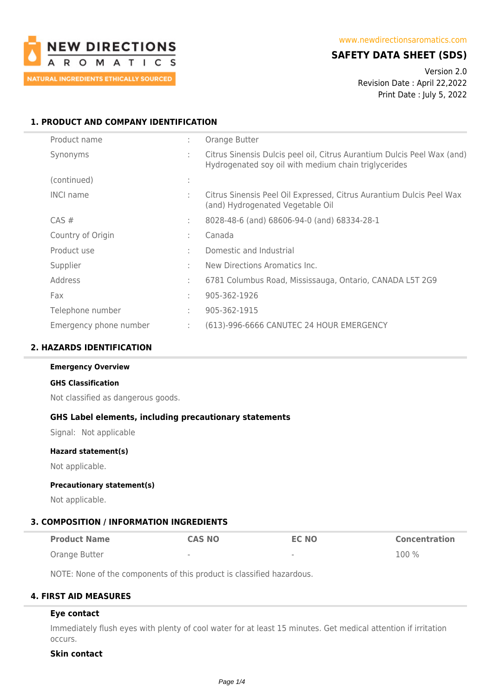

# **SAFETY DATA SHEET (SDS)**

Version 2.0 Revision Date : April 22,2022 Print Date : July 5, 2022

# **1. PRODUCT AND COMPANY IDENTIFICATION**

| Product name           | ÷            | Orange Butter                                                                                                                   |
|------------------------|--------------|---------------------------------------------------------------------------------------------------------------------------------|
| Synonyms               | ÷            | Citrus Sinensis Dulcis peel oil, Citrus Aurantium Dulcis Peel Wax (and)<br>Hydrogenated soy oil with medium chain triglycerides |
| (continued)            | ٠<br>$\cdot$ |                                                                                                                                 |
| <b>INCI name</b>       | ÷            | Citrus Sinensis Peel Oil Expressed, Citrus Aurantium Dulcis Peel Wax<br>(and) Hydrogenated Vegetable Oil                        |
| CAS#                   | ÷            | 8028-48-6 (and) 68606-94-0 (and) 68334-28-1                                                                                     |
| Country of Origin      | ÷            | Canada                                                                                                                          |
| Product use            | ÷            | Domestic and Industrial                                                                                                         |
| Supplier               | ÷            | New Directions Aromatics Inc.                                                                                                   |
| Address                | ÷            | 6781 Columbus Road, Mississauga, Ontario, CANADA L5T 2G9                                                                        |
| Fax                    | ÷            | 905-362-1926                                                                                                                    |
| Telephone number       | ÷            | 905-362-1915                                                                                                                    |
| Emergency phone number | ÷            | (613)-996-6666 CANUTEC 24 HOUR EMERGENCY                                                                                        |

## **2. HAZARDS IDENTIFICATION**

## **Emergency Overview**

#### **GHS Classification**

Not classified as dangerous goods.

# **GHS Label elements, including precautionary statements**

Signal: Not applicable

#### **Hazard statement(s)**

Not applicable.

## **Precautionary statement(s)**

Not applicable.

## **3. COMPOSITION / INFORMATION INGREDIENTS**

| <b>Product Name</b> | <b>CAS NO</b>            | <b>EC NO</b> | <b>Concentration</b> |
|---------------------|--------------------------|--------------|----------------------|
| Orange Butter       | $\overline{\phantom{a}}$ | $\,$         | $100\%$              |

NOTE: None of the components of this product is classified hazardous.

## **4. FIRST AID MEASURES**

## **Eye contact**

Immediately flush eyes with plenty of cool water for at least 15 minutes. Get medical attention if irritation occurs.

## **Skin contact**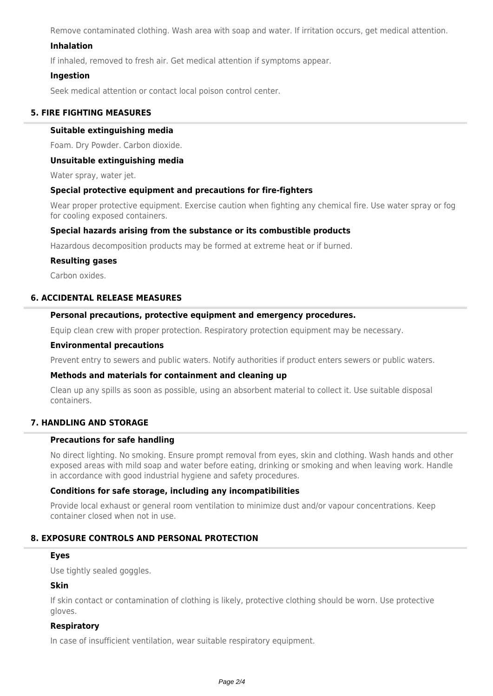Remove contaminated clothing. Wash area with soap and water. If irritation occurs, get medical attention.

## **Inhalation**

If inhaled, removed to fresh air. Get medical attention if symptoms appear.

## **Ingestion**

Seek medical attention or contact local poison control center.

# **5. FIRE FIGHTING MEASURES**

## **Suitable extinguishing media**

Foam. Dry Powder. Carbon dioxide.

## **Unsuitable extinguishing media**

Water spray, water jet.

## **Special protective equipment and precautions for fire-fighters**

Wear proper protective equipment. Exercise caution when fighting any chemical fire. Use water spray or fog for cooling exposed containers.

## **Special hazards arising from the substance or its combustible products**

Hazardous decomposition products may be formed at extreme heat or if burned.

#### **Resulting gases**

Carbon oxides.

## **6. ACCIDENTAL RELEASE MEASURES**

## **Personal precautions, protective equipment and emergency procedures.**

Equip clean crew with proper protection. Respiratory protection equipment may be necessary.

#### **Environmental precautions**

Prevent entry to sewers and public waters. Notify authorities if product enters sewers or public waters.

## **Methods and materials for containment and cleaning up**

Clean up any spills as soon as possible, using an absorbent material to collect it. Use suitable disposal containers.

## **7. HANDLING AND STORAGE**

## **Precautions for safe handling**

No direct lighting. No smoking. Ensure prompt removal from eyes, skin and clothing. Wash hands and other exposed areas with mild soap and water before eating, drinking or smoking and when leaving work. Handle in accordance with good industrial hygiene and safety procedures.

## **Conditions for safe storage, including any incompatibilities**

Provide local exhaust or general room ventilation to minimize dust and/or vapour concentrations. Keep container closed when not in use.

## **8. EXPOSURE CONTROLS AND PERSONAL PROTECTION**

#### **Eyes**

Use tightly sealed goggles.

## **Skin**

If skin contact or contamination of clothing is likely, protective clothing should be worn. Use protective gloves.

## **Respiratory**

In case of insufficient ventilation, wear suitable respiratory equipment.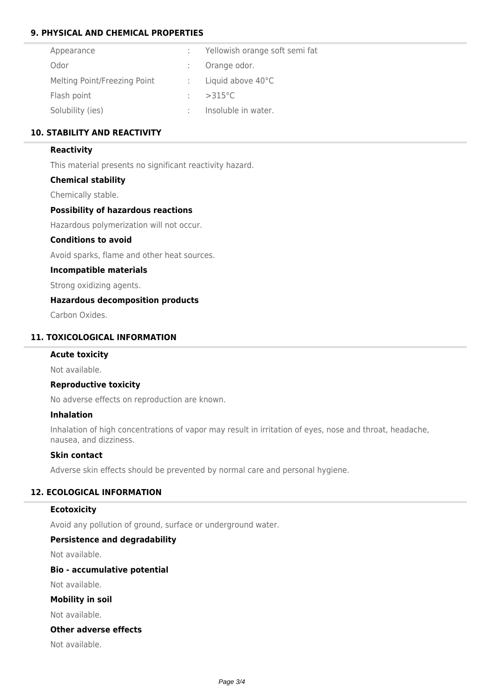# **9. PHYSICAL AND CHEMICAL PROPERTIES**

| Appearance                   | : Yellowish orange soft semi fat |
|------------------------------|----------------------------------|
| Odor                         | Orange odor.                     |
| Melting Point/Freezing Point | : Liquid above $40^{\circ}$ C    |
| Flash point                  | $>315^{\circ}$ C                 |
| Solubility (ies)             | Insoluble in water.              |

## **10. STABILITY AND REACTIVITY**

## **Reactivity**

This material presents no significant reactivity hazard.

## **Chemical stability**

Chemically stable.

## **Possibility of hazardous reactions**

Hazardous polymerization will not occur.

# **Conditions to avoid**

Avoid sparks, flame and other heat sources.

## **Incompatible materials**

Strong oxidizing agents.

# **Hazardous decomposition products**

Carbon Oxides.

## **11. TOXICOLOGICAL INFORMATION**

## **Acute toxicity**

Not available.

## **Reproductive toxicity**

No adverse effects on reproduction are known.

## **Inhalation**

Inhalation of high concentrations of vapor may result in irritation of eyes, nose and throat, headache, nausea, and dizziness.

## **Skin contact**

Adverse skin effects should be prevented by normal care and personal hygiene.

## **12. ECOLOGICAL INFORMATION**

## **Ecotoxicity**

Avoid any pollution of ground, surface or underground water.

## **Persistence and degradability**

Not available.

## **Bio - accumulative potential**

Not available.

# **Mobility in soil**

Not available.

# **Other adverse effects**

Not available.